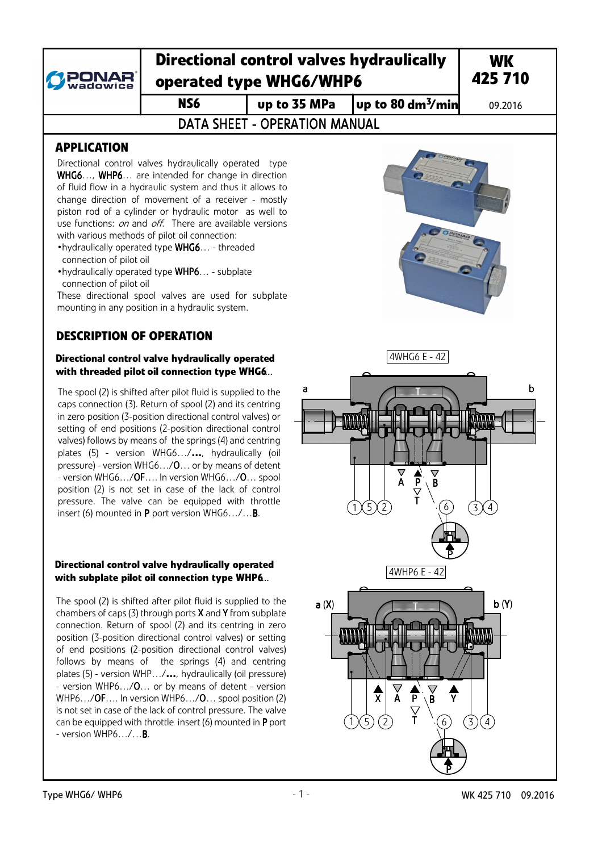

## **Directional control valves hydraulically operated type WHG6/WHP6**

 $\overline{MS6}$  **up to 35 MPa**  $\overline{J}$  up to 80 dm<sup>3</sup>/min

09.2016

DATA SHEFT - OPERATION MANUAL

## **APPLICATION**

Directional control valves hydraulically operated type WHG6..., WHP6... are intended for change in direction of fluid flow in a hydraulic system and thus it allows to change direction of movement of a receiver - mostly piston rod of a cylinder or hydraulic motor as well to use functions: on and off. There are available versions with various methods of pilot oil connection:

- •hydraulically operated type WHG6… threaded connection of pilot oil
- •hydraulically operated type WHP6… subplate connection of pilot oil

These directional spool valves are used for subplate mounting in any position in a hydraulic system.

## **DESCRIPTION OF OPERATION**

#### **Directional control valve hydraulically operated with threaded pilot oil connection type WHG6**...

The spool (2) is shifted after pilot fluid is supplied to the caps connection (3). Return of spool (2) and its centring in zero position (3-position directional control valves) or setting of end positions (2-position directional control valves) follows by means of the springs (4) and centring plates (5) - version WHG6…/**…**, hydraulically (oil pressure) - version WHG6…/O… or by means of detent - version WHG6…/OF…. In version WHG6…/O… spool position (2) is not set in case of the lack of control pressure. The valve can be equipped with throttle insert (6) mounted in P port version WHG6…/…B.

#### **Directional control valve hydraulically operated with subplate pilot oil connection type WHP6**...

The spool (2) is shifted after pilot fluid is supplied to the chambers of caps (3) through ports  $X$  and  $Y$  from subplate connection. Return of spool (2) and its centring in zero position (3-position directional control valves) or setting of end positions (2-position directional control valves) follows by means of the springs (4) and centring plates (5) - version WHP…/**…**, hydraulically (oil pressure) - version WHP6…/O… or by means of detent - version WHP6.../OF.... In version WHP6.../O... spool position (2) is not set in case of the lack of control pressure. The valve can be equipped with throttle insert (6) mounted in P port - version WHP6…/…B.

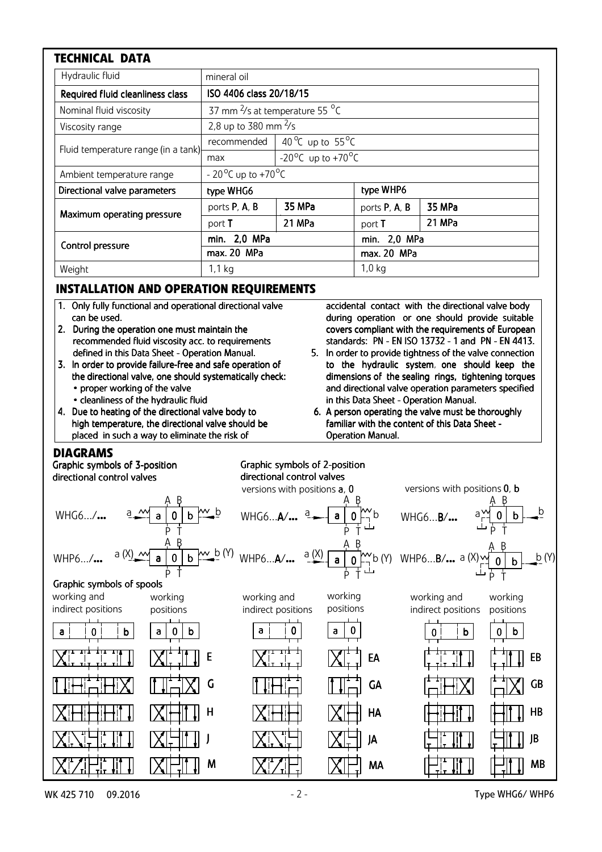| <b>TECHNICAL DATA</b>               |                                                        |                                             |               |        |
|-------------------------------------|--------------------------------------------------------|---------------------------------------------|---------------|--------|
| Hydraulic fluid                     | mineral oil                                            |                                             |               |        |
| Required fluid cleanliness class    | ISO 4406 class 20/18/15                                |                                             |               |        |
| Nominal fluid viscosity             | 37 mm <sup>2</sup> /s at temperature 55 <sup>o</sup> C |                                             |               |        |
| Viscosity range                     | 2,8 up to 380 mm $\frac{2}{5}$                         |                                             |               |        |
| Fluid temperature range (in a tank) | recommended                                            | 40 <sup>o</sup> C up to 55 <sup>o</sup> C   |               |        |
|                                     | max                                                    | -20 <sup>o</sup> C up to +70 <sup>o</sup> C |               |        |
| Ambient temperature range           | $-20^{\circ}$ C up to $+70^{\circ}$ C                  |                                             |               |        |
| Directional valve parameters        | type WHG6                                              |                                             | type WHP6     |        |
| Maximum operating pressure          | ports P, A, B                                          | 35 MPa                                      | ports P, A, B | 35 MPa |
|                                     | port T                                                 | 21 MPa                                      | port T        | 21 MPa |
| Control pressure                    | min. 2,0 MPa                                           |                                             | min. 2,0 MPa  |        |
|                                     | max. 20 MPa                                            |                                             | max. 20 MPa   |        |
| Weight                              | 1,1 kg                                                 |                                             | $1,0$ kg      |        |

## **INSTALLATION AND OPERATION REQUIREMENTS**

- 1. Only fully functional and operational directional valve can be used.
- 2. During the operation one must maintain the recommended fluid viscosity acc. to requirements defined in this Data Sheet - Operation Manual.
- 3. In order to provide failure-free and safe operation of the directional valve, one should systematically check: • proper working of the valve
	- cleanliness of the hydraulic fluid
- 4. Due to heating of the directional valve body to high temperature, the directional valve should be placed in such a way to eliminate the risk of

accidental contact with the directional valve body during operation or one should provide suitable covers compliant with the requirements of European standards: PN - EN ISO 13732 - 1 and PN - EN 4413.

- 5. In order to provide tightness of the valve connection to the hydraulic system, one should keep the dimensions of the sealing rings, tightening torques and directional valve operation parameters specified in this Data Sheet - Operation Manual.
- 6. A person operating the valve must be thoroughly familiar with the content of this Data Sheet -**Operation Manual.**

### **DIAGRAMS**

a 0 b a 0 b a 0 b a 0 b a 0 b a 0 b E G H J M EA GA HA JA MA EB GB HB JB MB a 0 b a 0 0 b working and indirect positions A B P T a  $M$  a | 0 | b  $M$  b A B P T WHG6.../**...** a <u>M a 0 b W b</u> WHG6...A/**...** a a a p b wHG6...B/**...** a a a b b b A B P T Graphic Graphic symbols of 3-position directional control valves versions with positions  $\mathbf{a}$ ,  $\mathbf{0}$  versions with positions  $\mathbf{0}$ ,  $\mathbf{b}$ Graphic symbols of spools WHP6.../... <sup>a (X)</sup> 1 a 0 b  $\frac{M\omega_0}{M}$  wHP6...**A/...** a (X) a 0  $\frac{N\omega_0}{M}$  b (Y) WHP6...**B/...** a (X)  $\frac{M\omega_0}{M}$  **b** b  $\frac{b}{M}$  (Y) A B P T <sup>a</sup> <sup>0</sup> <sup>b</sup> a (X) b (Y) <sup>A</sup> <sup>B</sup> P T A B P T  $b (Y)$ Graphic symbols of 2-position directional control valves working positions working and indirect positions working and indirect positions working positions working positions

WK 425 710 09.2016 09.2016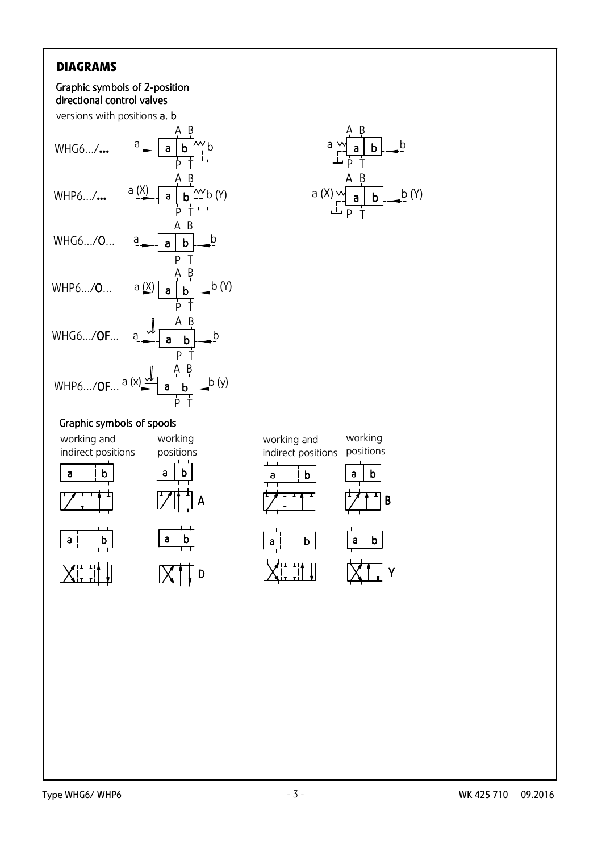## **DIAGRAMS**





#### Graphic symbols of spools



 $X_{\cdots}^{\cdots}$ 



working







working and



working

B

Y



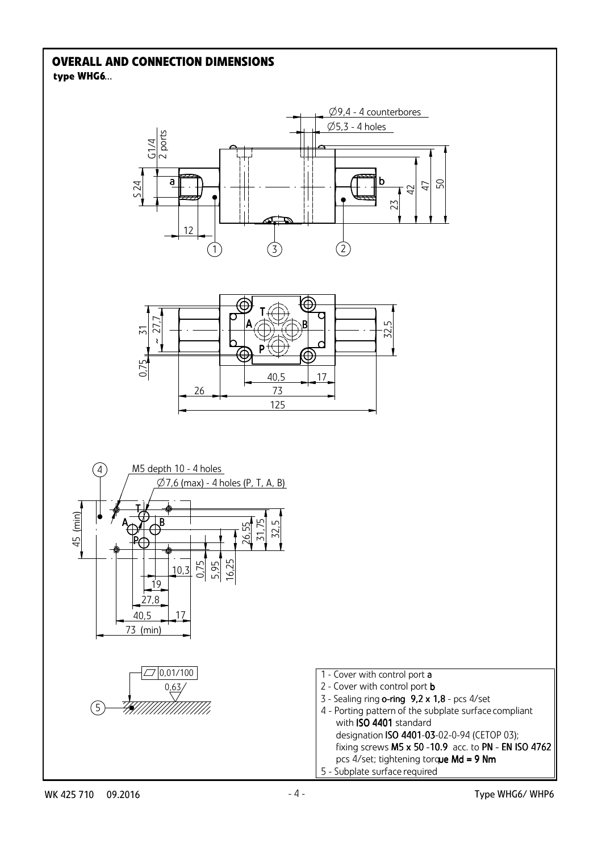#### **type WHG6**... **OVERALL AND CONNECTION DIMENSIONS**

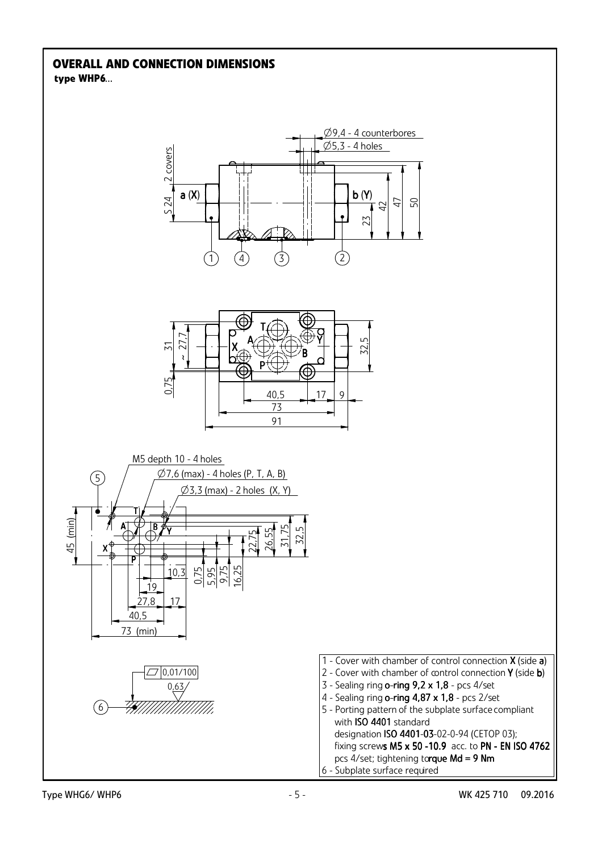#### **type WHP6**... **OVERALL AND CONNECTION DIMENSIONS**

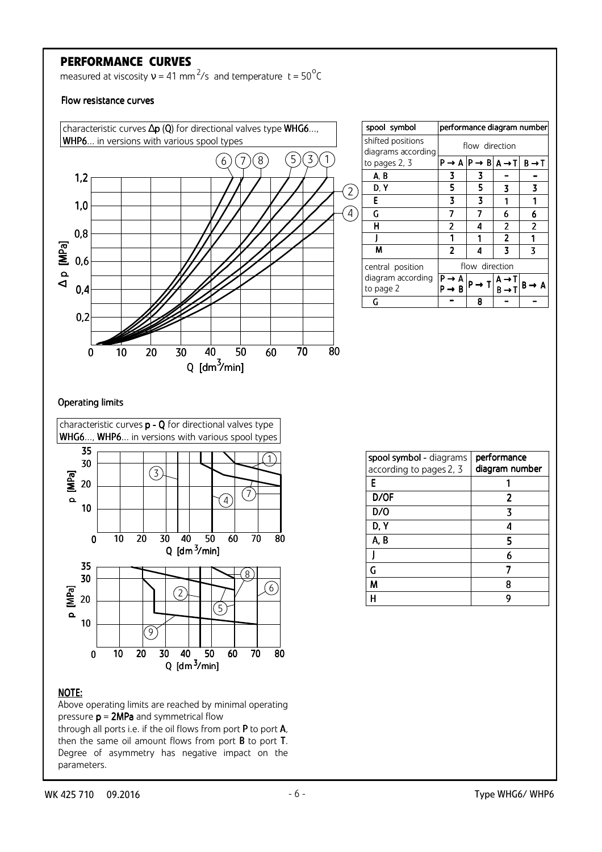## **PERFORMANCE CURVES**

measured at viscosity  $v = 41$  mm<sup>2</sup>/s and temperature t =  $50^{\circ}$ C

#### Flow resistance curves



| spool symbol                            |                                                         |                   |                                                | performance diagram number |
|-----------------------------------------|---------------------------------------------------------|-------------------|------------------------------------------------|----------------------------|
| shifted positions<br>diagrams according | flow direction                                          |                   |                                                |                            |
| to pages 2, 3                           | $P \rightarrow A   P \rightarrow B   A \rightarrow T  $ |                   |                                                | $B \rightarrow T$          |
| A, B                                    | 3                                                       | 3                 |                                                |                            |
| D, Y                                    | 5                                                       | 5                 | 3                                              | 3                          |
| E                                       | 3                                                       | 3                 |                                                |                            |
| G                                       | 7                                                       | 7                 | 6                                              | 6                          |
| н                                       | 2                                                       | 4                 | 2                                              | $\overline{2}$             |
|                                         |                                                         |                   | $\overline{2}$                                 |                            |
| M                                       | $\overline{2}$                                          | 4                 | 7                                              | 3                          |
| central position                        | flow direction                                          |                   |                                                |                            |
| diagram according<br>to page 2          | ۰R                                                      | $P \rightarrow T$ | $A \rightarrow I$<br>$\mathsf{R}\to\mathsf{R}$ | В –<br>→ A                 |
| G                                       |                                                         | 8                 |                                                |                            |

#### Operating limits



#### NOTE:



through all ports i.e. if the oil flows from port P to port A, then the same oil amount flows from port  $B$  to port  $T$ . Degree of asymmetry has negative impact on the parameters.

| spool symbol - diagrams | performance    |  |
|-------------------------|----------------|--|
| according to pages 2, 3 | diagram number |  |
| F                       |                |  |
| D/OF                    | 2              |  |
| D/O                     | 7              |  |
| D, Y                    |                |  |
| A, B                    | 5              |  |
|                         |                |  |
| G                       |                |  |
| М                       |                |  |
|                         |                |  |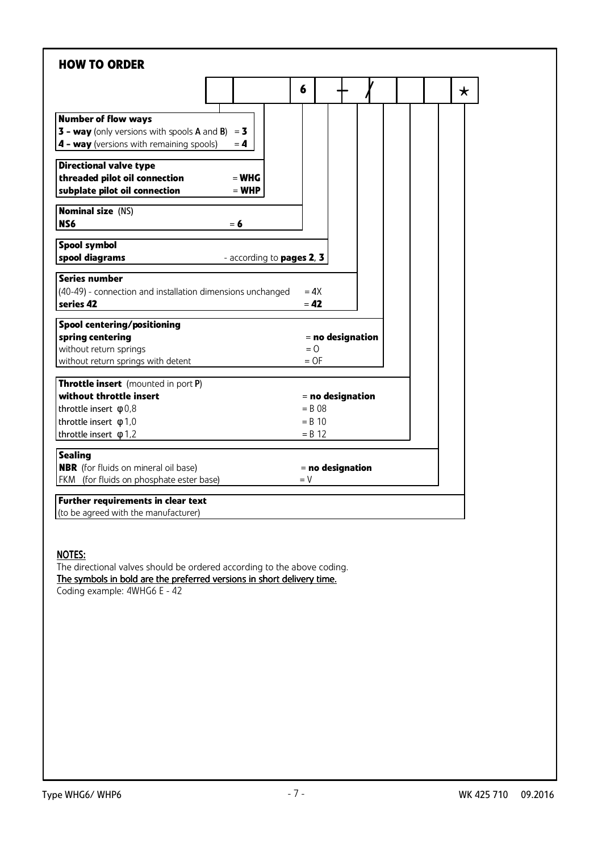|                                                                                                                                                | 6<br>$\star$                        |
|------------------------------------------------------------------------------------------------------------------------------------------------|-------------------------------------|
| <b>Number of flow ways</b><br><b>3 - way</b> (only versions with spools A and B)<br>$= 3$<br>4 - way (versions with remaining spools)<br>$= 4$ |                                     |
| <b>Directional valve type</b><br>threaded pilot oil connection<br>$=$ WHG<br>subplate pilot oil connection<br>$=$ WHP                          |                                     |
| <b>Nominal size (NS)</b><br>NS6<br>$= 6$                                                                                                       |                                     |
| Spool symbol<br>spool diagrams<br>- according to pages 2, 3                                                                                    |                                     |
| <b>Series number</b><br>(40-49) - connection and installation dimensions unchanged<br>series 42                                                | $= 4X$<br>$= 42$                    |
| Spool centering/positioning<br>spring centering<br>without return springs<br>without return springs with detent                                | = no designation<br>$= 0$<br>$=$ OF |
| Throttle insert (mounted in port P)<br>without throttle insert                                                                                 | $=$ no designation                  |
| throttle insert $\phi$ 0,8<br>throttle insert $\phi$ 1,0                                                                                       | $= B.08$<br>$=$ R 10<br>$= B 12$    |
|                                                                                                                                                |                                     |
| throttle insert $\phi$ 1,2<br><b>Sealing</b><br><b>NBR</b> (for fluids on mineral oil base)                                                    | = no designation                    |

#### NOTES:

The directional valves should be ordered according to the above coding. The symbols in bold are the preferred versions in short delivery time. Coding example: 4WHG6 E - 42